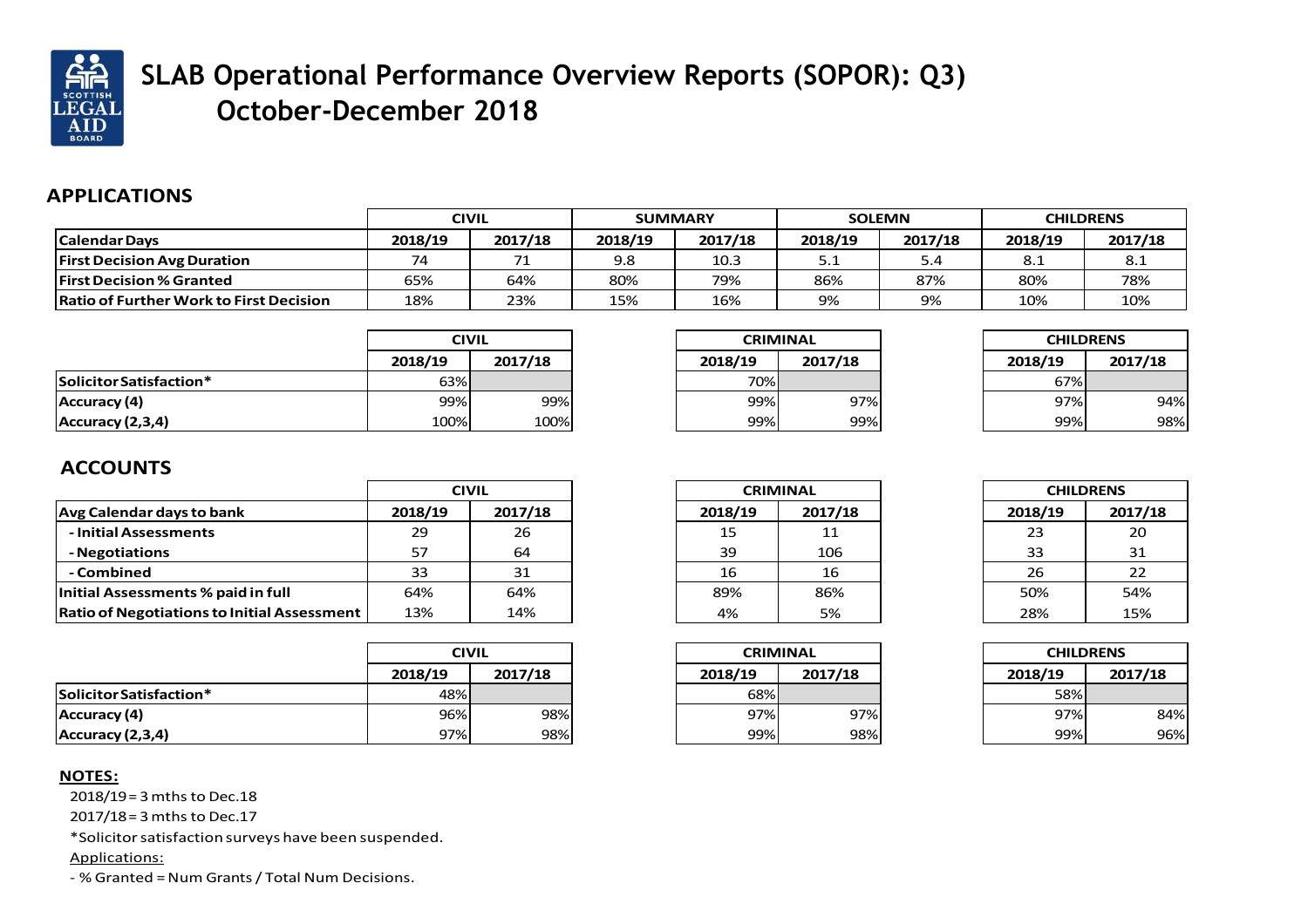

## **SLAB Operational Performance Overview Reports (SOPOR): Q3) October-December 2018**

## **APPLICATIONS**

|                                                |         | <b>CIVIL</b> | <b>SUMMARY</b> |         |         | <b>SOLEMN</b> |         | <b>CHILDRENS</b> |
|------------------------------------------------|---------|--------------|----------------|---------|---------|---------------|---------|------------------|
| Calendar Days                                  | 2018/19 | 2017/18      | 2018/19        | 2017/18 | 2018/19 | 2017/18       | 2018/19 | 2017/18          |
| <b>First Decision Avg Duration</b>             | 74      | 74           | 9.8            | 10.3    | 5.1     | 5.4           | 8.1     | 8.1              |
| <b>First Decision % Granted</b>                | 65%     | 64%          | 80%            | 79%     | 86%     | 87%           | 80%     | 78%              |
| <b>Ratio of Further Work to First Decision</b> | 18%     | 23%          | 15%            | 16%     | 9%      | 9%            | 10%     | 10%              |

|                         | <b>CIVIL</b> |         |  |
|-------------------------|--------------|---------|--|
|                         | 2018/19      | 2017/18 |  |
| Solicitor Satisfaction* | 63%          |         |  |
| Accuracy (4)            | 99%          | 99%     |  |
| Accuracy (2,3,4)        | 100%         | 100%    |  |

| <b>CRIMINAL</b> |         |  |  |
|-----------------|---------|--|--|
| 2018/19         | 2017/18 |  |  |
| 70%             |         |  |  |
| 99%             | 97%     |  |  |
| 99%             | 99%     |  |  |

| <b>CHILDRENS</b> |         |  |
|------------------|---------|--|
| 2018/19          | 2017/18 |  |
| 67%              |         |  |
| 97%              | 94%     |  |
| 99%              | 98%     |  |

## **ACCOUNTS**

|                                                    | CIVIL   |         |  |
|----------------------------------------------------|---------|---------|--|
| Avg Calendar days to bank                          | 2018/19 | 2017/18 |  |
| - Initial Assessments                              | 29      | 26      |  |
| - Negotiations                                     | 57      | 64      |  |
| - Combined                                         | 33      | 31      |  |
| Initial Assessments % paid in full                 | 64%     | 64%     |  |
| <b>Ratio of Negotiations to Initial Assessment</b> | 13%     | 14%     |  |

|                         |         | <b>CIVIL</b> |  |  |
|-------------------------|---------|--------------|--|--|
|                         | 2018/19 | 2017/18      |  |  |
| Solicitor Satisfaction* | 48%     |              |  |  |
| Accuracy (4)            | 96%     | 98%          |  |  |
| Accuracy (2,3,4)        | 97%     | 98%          |  |  |

## **NOTES:**

2018/19 = 3 mths to Dec.18

2017/18 = 3 mths to Dec.17

\*Solicitorsatisfaction surveys have been suspended.

Applications:

- % Granted =Num Grants/ Total Num Decisions.

| <b>CRIMINAL</b> |         |  |  |
|-----------------|---------|--|--|
| 2018/19         | 2017/18 |  |  |
| 15              | 11      |  |  |
| 39              | 106     |  |  |
| 16              | 16      |  |  |
| 89%             | 86%     |  |  |
| 4%              | 5%      |  |  |

| <b>CHILDRENS</b> |         |  |
|------------------|---------|--|
| 2018/19          | 2017/18 |  |
| 23               | 20      |  |
| 33               | 31      |  |
| 26               | 22      |  |
| 50%              | 54%     |  |
| 28%              | 15%     |  |

| <b>CRIMINAL</b> |         |  |  |
|-----------------|---------|--|--|
| 2018/19         | 2017/18 |  |  |
| 68%             |         |  |  |
| 97%             | 97%     |  |  |
| 99%             | 98%     |  |  |

| <b>CHILDRENS</b> |         |  |
|------------------|---------|--|
| 2018/19          | 2017/18 |  |
| 58%              |         |  |
| 97%              | 84%     |  |
| 99%              | 96%     |  |